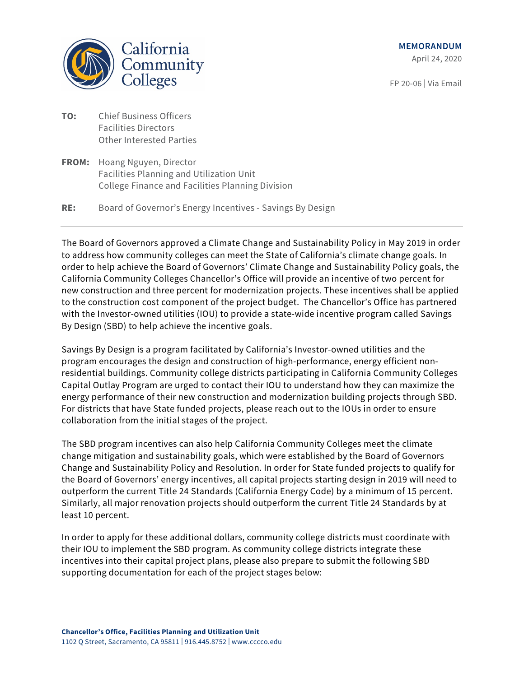California Community<br>Colleges

FP 20-06 | Via Email

**TO:** Chief Business Officers Facilities Directors Other Interested Parties

**FROM:** Hoang Nguyen, Director Facilities Planning and Utilization Unit College Finance and Facilities Planning Division

**RE:** Board of Governor's Energy Incentives - Savings By Design

The Board of Governors approved a Climate Change and Sustainability Policy in May 2019 in order to address how community colleges can meet the State of California's climate change goals. In order to help achieve the Board of Governors' Climate Change and Sustainability Policy goals, the California Community Colleges Chancellor's Office will provide an incentive of two percent for new construction and three percent for modernization projects. These incentives shall be applied to the construction cost component of the project budget. The Chancellor's Office has partnered with the Investor-owned utilities (IOU) to provide a state-wide incentive program called Savings By Design (SBD) to help achieve the incentive goals.

Savings By Design is a program facilitated by California's Investor-owned utilities and the program encourages the design and construction of high-performance, energy efficient nonresidential buildings. Community college districts participating in California Community Colleges Capital Outlay Program are urged to contact their IOU to understand how they can maximize the energy performance of their new construction and modernization building projects through SBD. For districts that have State funded projects, please reach out to the IOUs in order to ensure collaboration from the initial stages of the project.

The SBD program incentives can also help California Community Colleges meet the climate change mitigation and sustainability goals, which were established by the Board of Governors Change and Sustainability Policy and Resolution. In order for State funded projects to qualify for the Board of Governors' energy incentives, all capital projects starting design in 2019 will need to outperform the current Title 24 Standards (California Energy Code) by a minimum of 15 percent. Similarly, all major renovation projects should outperform the current Title 24 Standards by at least 10 percent.

In order to apply for these additional dollars, community college districts must coordinate with their IOU to implement the SBD program. As community college districts integrate these incentives into their capital project plans, please also prepare to submit the following SBD supporting documentation for each of the project stages below: